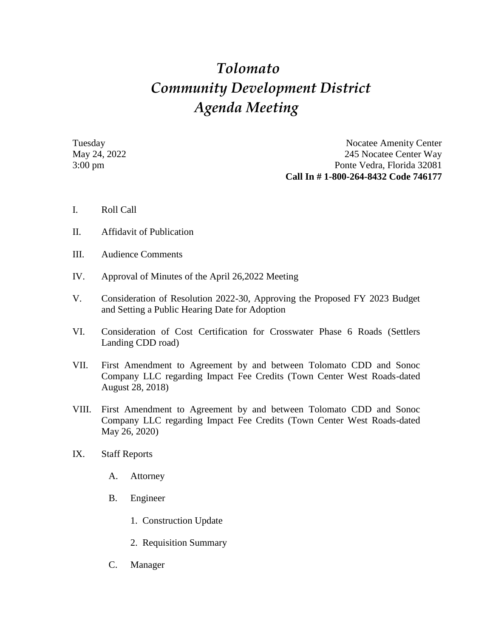## *Tolomato Community Development District Agenda Meeting*

Tuesday Nocatee Amenity Center May 24, 2022 245 Nocatee Center Way 3:00 pm Ponte Vedra, Florida 32081 **Call In # 1-800-264-8432 Code 746177**

- I. Roll Call
- II. Affidavit of Publication
- III. Audience Comments
- IV. Approval of Minutes of the April 26,2022 Meeting
- V. Consideration of Resolution 2022-30, Approving the Proposed FY 2023 Budget and Setting a Public Hearing Date for Adoption
- VI. Consideration of Cost Certification for Crosswater Phase 6 Roads (Settlers Landing CDD road)
- VII. First Amendment to Agreement by and between Tolomato CDD and Sonoc Company LLC regarding Impact Fee Credits (Town Center West Roads-dated August 28, 2018)
- VIII. First Amendment to Agreement by and between Tolomato CDD and Sonoc Company LLC regarding Impact Fee Credits (Town Center West Roads-dated May 26, 2020)
- IX. Staff Reports
	- A. Attorney
	- B. Engineer
		- 1. Construction Update
		- 2. Requisition Summary
	- C. Manager